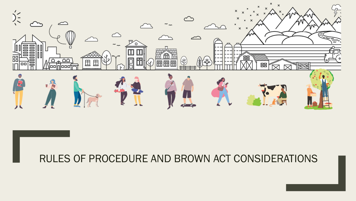

#### RULES OF PROCEDURE AND BROWN ACT CONSIDERATIONS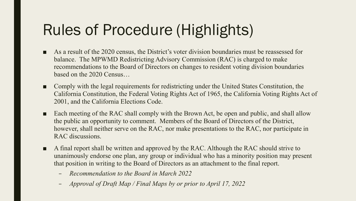# Rules of Procedure (Highlights)

- As a result of the 2020 census, the District's voter division boundaries must be reassessed for balance. The MPWMD Redistricting Advisory Commission (RAC) is charged to make recommendations to the Board of Directors on changes to resident voting division boundaries based on the 2020 Census…
- Comply with the legal requirements for redistricting under the United States Constitution, the California Constitution, the Federal Voting Rights Act of 1965, the California Voting Rights Act of 2001, and the California Elections Code.
- Each meeting of the RAC shall comply with the Brown Act, be open and public, and shall allow the public an opportunity to comment. Members of the Board of Directors of the District, however, shall neither serve on the RAC, nor make presentations to the RAC, nor participate in RAC discussions.
- A final report shall be written and approved by the RAC. Although the RAC should strive to unanimously endorse one plan, any group or individual who has a minority position may present that position in writing to the Board of Directors as an attachment to the final report.
	- *Recommendation to the Board in March 2022*
	- *Approval of Draft Map / Final Maps by or prior to April 17, 2022*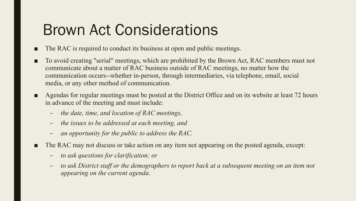## Brown Act Considerations

- The RAC is required to conduct its business at open and public meetings.
- To avoid creating "serial" meetings, which are prohibited by the Brown Act, RAC members must not communicate about a matter of RAC business outside of RAC meetings, no matter how the communication occurs--whether in-person, through intermediaries, via telephone, email, social media, or any other method of communication.
- Agendas for regular meetings must be posted at the District Office and on its website at least 72 hours in advance of the meeting and must include:
	- *the date, time, and location of RAC meetings,*
	- *the issues to be addressed at each meeting, and*
	- *an opportunity for the public to address the RAC.*
- The RAC may not discuss or take action on any item not appearing on the posted agenda, except:
	- *to ask questions for clarification; or*
	- *to ask District staff or the demographers to report back at a subsequent meeting on an item not appearing on the current agenda.*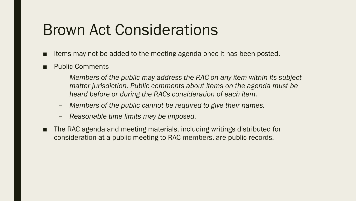### Brown Act Considerations

- Items may not be added to the meeting agenda once it has been posted.
- **Public Comments** 
	- *Members of the public may address the RAC on any item within its subjectmatter jurisdiction. Public comments about items on the agenda must be heard before or during the RACs consideration of each item.*
	- *Members of the public cannot be required to give their names.*
	- *Reasonable time limits may be imposed.*
- The RAC agenda and meeting materials, including writings distributed for consideration at a public meeting to RAC members, are public records.